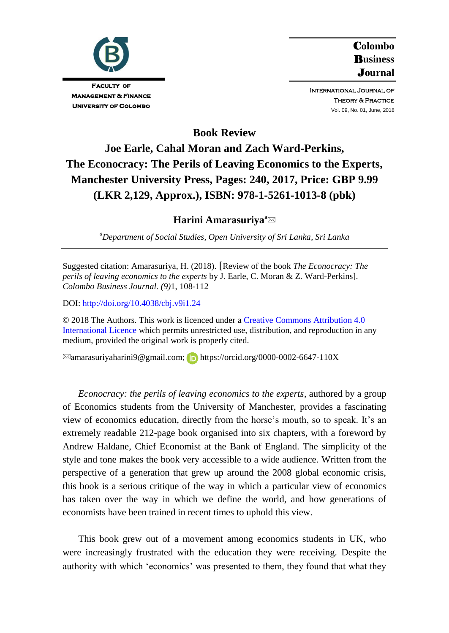

C**olombo**  B**usiness**  J**ournal**

International Journal of Theory & Practice Vol. 09, No. 01, June, 2018

**Book Review**

# **Joe Earle, Cahal Moran and Zach Ward-Perkins, The Econocracy: The Perils of Leaving Economics to the Experts, Manchester University Press, Pages: 240, 2017, Price: GBP 9.99 (LKR 2,129, Approx.), ISBN: 978-1-5261-1013-8 (pbk)**

# **Harini Amarasuriya<sup>a</sup>**

*<sup>a</sup>Department of Social Studies, Open University of Sri Lanka, Sri Lanka*

Suggested citation: Amarasuriya, H. (2018). [Review of the book *The Econocracy: The perils of leaving economics to the experts* by J. Earle, C. Moran & Z. Ward-Perkins]. *Colombo Business Journal. (9)*1, 108-112

DOI:<http://doi.org/10.4038/cbj.v9i1.24>

© 2018 The Authors. This work is licenced under [a Creative Commons Attribution 4.0](https://creativecommons.org/share-your-work/licensing-types-examples/licensing-examples/#by)  [International Licence](https://creativecommons.org/share-your-work/licensing-types-examples/licensing-examples/#by) which permits unrestricted use, distribution, and reproduction in any medium, provided the original work is properly cited.

 $\boxtimes$ amarasuriyaharini9@gmail.com; [D:](https://orcid.org/0000-0002-6647-110X) https://orcid.org/0000-0002-6647-110X

*Econocracy: the perils of leaving economics to the experts*, authored by a group of Economics students from the University of Manchester, provides a fascinating view of economics education, directly from the horse"s mouth, so to speak. It"s an extremely readable 212-page book organised into six chapters, with a foreword by Andrew Haldane, Chief Economist at the Bank of England. The simplicity of the style and tone makes the book very accessible to a wide audience. Written from the perspective of a generation that grew up around the 2008 global economic crisis, this book is a serious critique of the way in which a particular view of economics has taken over the way in which we define the world, and how generations of economists have been trained in recent times to uphold this view.

This book grew out of a movement among economics students in UK, who were increasingly frustrated with the education they were receiving. Despite the authority with which "economics" was presented to them, they found that what they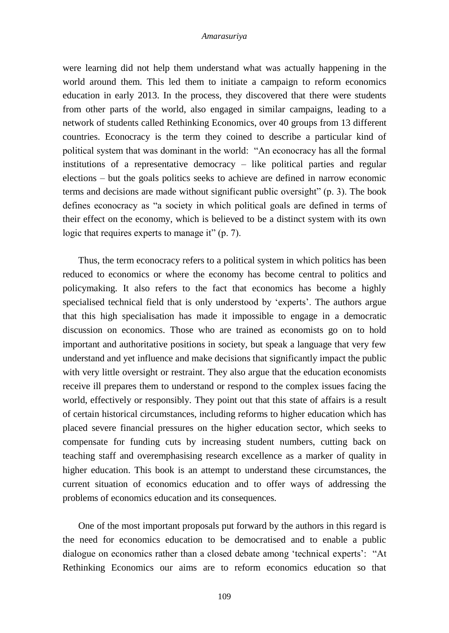#### *Amarasuriya*

were learning did not help them understand what was actually happening in the world around them. This led them to initiate a campaign to reform economics education in early 2013. In the process, they discovered that there were students from other parts of the world, also engaged in similar campaigns, leading to a network of students called Rethinking Economics, over 40 groups from 13 different countries. Econocracy is the term they coined to describe a particular kind of political system that was dominant in the world: "An econocracy has all the formal institutions of a representative democracy – like political parties and regular elections – but the goals politics seeks to achieve are defined in narrow economic terms and decisions are made without significant public oversight" (p. 3). The book defines econocracy as "a society in which political goals are defined in terms of their effect on the economy, which is believed to be a distinct system with its own logic that requires experts to manage it" (p. 7).

Thus, the term econocracy refers to a political system in which politics has been reduced to economics or where the economy has become central to politics and policymaking. It also refers to the fact that economics has become a highly specialised technical field that is only understood by 'experts'. The authors argue that this high specialisation has made it impossible to engage in a democratic discussion on economics. Those who are trained as economists go on to hold important and authoritative positions in society, but speak a language that very few understand and yet influence and make decisions that significantly impact the public with very little oversight or restraint. They also argue that the education economists receive ill prepares them to understand or respond to the complex issues facing the world, effectively or responsibly. They point out that this state of affairs is a result of certain historical circumstances, including reforms to higher education which has placed severe financial pressures on the higher education sector, which seeks to compensate for funding cuts by increasing student numbers, cutting back on teaching staff and overemphasising research excellence as a marker of quality in higher education. This book is an attempt to understand these circumstances, the current situation of economics education and to offer ways of addressing the problems of economics education and its consequences.

One of the most important proposals put forward by the authors in this regard is the need for economics education to be democratised and to enable a public dialogue on economics rather than a closed debate among "technical experts": "At Rethinking Economics our aims are to reform economics education so that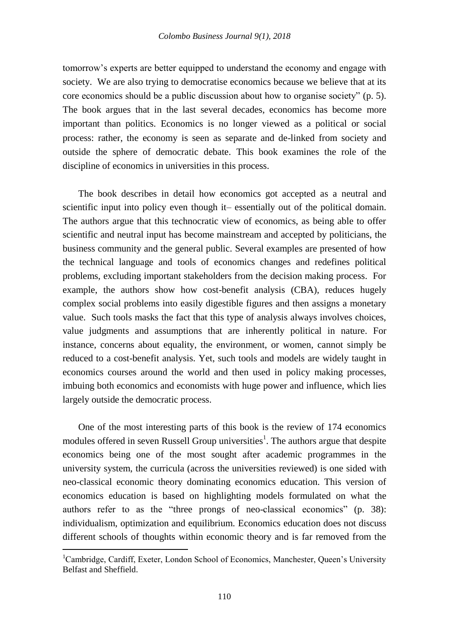tomorrow"s experts are better equipped to understand the economy and engage with society. We are also trying to democratise economics because we believe that at its core economics should be a public discussion about how to organise society" (p. 5). The book argues that in the last several decades, economics has become more important than politics. Economics is no longer viewed as a political or social process: rather, the economy is seen as separate and de-linked from society and outside the sphere of democratic debate. This book examines the role of the discipline of economics in universities in this process.

The book describes in detail how economics got accepted as a neutral and scientific input into policy even though it– essentially out of the political domain. The authors argue that this technocratic view of economics, as being able to offer scientific and neutral input has become mainstream and accepted by politicians, the business community and the general public. Several examples are presented of how the technical language and tools of economics changes and redefines political problems, excluding important stakeholders from the decision making process. For example, the authors show how cost-benefit analysis (CBA), reduces hugely complex social problems into easily digestible figures and then assigns a monetary value. Such tools masks the fact that this type of analysis always involves choices, value judgments and assumptions that are inherently political in nature. For instance, concerns about equality, the environment, or women, cannot simply be reduced to a cost-benefit analysis. Yet, such tools and models are widely taught in economics courses around the world and then used in policy making processes, imbuing both economics and economists with huge power and influence, which lies largely outside the democratic process.

One of the most interesting parts of this book is the review of 174 economics modules offered in seven Russell Group universities<sup>1</sup>. The authors argue that despite economics being one of the most sought after academic programmes in the university system, the curricula (across the universities reviewed) is one sided with neo-classical economic theory dominating economics education. This version of economics education is based on highlighting models formulated on what the authors refer to as the "three prongs of neo-classical economics" (p. 38): individualism, optimization and equilibrium. Economics education does not discuss different schools of thoughts within economic theory and is far removed from the

<u>.</u>

<sup>&</sup>lt;sup>1</sup>Cambridge, Cardiff, Exeter, London School of Economics, Manchester, Queen's University Belfast and Sheffield.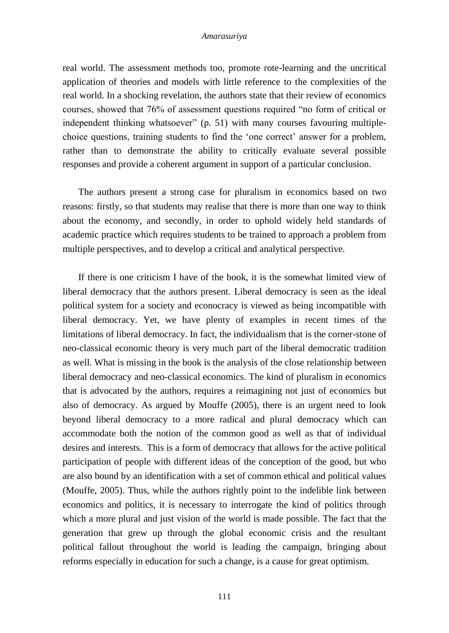#### *Amarasuriya*

real world. The assessment methods too, promote rote-learning and the uncritical application of theories and models with little reference to the complexities of the real world. In a shocking revelation, the authors state that their review of economics courses, showed that 76% of assessment questions required "no form of critical or independent thinking whatsoever" (p. 51) with many courses favouring multiplechoice questions, training students to find the "one correct" answer for a problem, rather than to demonstrate the ability to critically evaluate several possible responses and provide a coherent argument in support of a particular conclusion.

The authors present a strong case for pluralism in economics based on two reasons: firstly, so that students may realise that there is more than one way to think about the economy, and secondly, in order to uphold widely held standards of academic practice which requires students to be trained to approach a problem from multiple perspectives, and to develop a critical and analytical perspective.

If there is one criticism I have of the book, it is the somewhat limited view of liberal democracy that the authors present. Liberal democracy is seen as the ideal political system for a society and econocracy is viewed as being incompatible with liberal democracy. Yet, we have plenty of examples in recent times of the limitations of liberal democracy. In fact, the individualism that is the corner-stone of neo-classical economic theory is very much part of the liberal democratic tradition as well. What is missing in the book is the analysis of the close relationship between liberal democracy and neo-classical economics. The kind of pluralism in economics that is advocated by the authors, requires a reimagining not just of economics but also of democracy. As argued by Mouffe (2005), there is an urgent need to look beyond liberal democracy to a more radical and plural democracy which can accommodate both the notion of the common good as well as that of individual desires and interests. This is a form of democracy that allows for the active political participation of people with different ideas of the conception of the good, but who are also bound by an identification with a set of common ethical and political values (Mouffe, 2005). Thus, while the authors rightly point to the indelible link between economics and politics, it is necessary to interrogate the kind of politics through which a more plural and just vision of the world is made possible. The fact that the generation that grew up through the global economic crisis and the resultant political fallout throughout the world is leading the campaign, bringing about reforms especially in education for such a change, is a cause for great optimism.